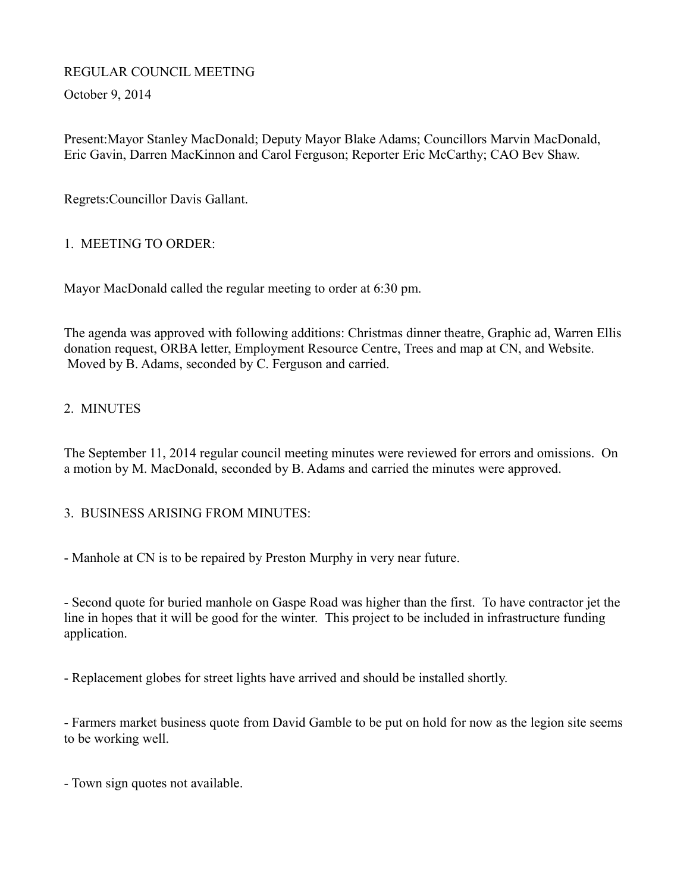# REGULAR COUNCIL MEETING

October 9, 2014

Present:Mayor Stanley MacDonald; Deputy Mayor Blake Adams; Councillors Marvin MacDonald, Eric Gavin, Darren MacKinnon and Carol Ferguson; Reporter Eric McCarthy; CAO Bev Shaw.

Regrets:Councillor Davis Gallant.

# 1. MEETING TO ORDER:

Mayor MacDonald called the regular meeting to order at 6:30 pm.

The agenda was approved with following additions: Christmas dinner theatre, Graphic ad, Warren Ellis donation request, ORBA letter, Employment Resource Centre, Trees and map at CN, and Website. Moved by B. Adams, seconded by C. Ferguson and carried.

# 2. MINUTES

The September 11, 2014 regular council meeting minutes were reviewed for errors and omissions. On a motion by M. MacDonald, seconded by B. Adams and carried the minutes were approved.

## 3. BUSINESS ARISING FROM MINUTES:

- Manhole at CN is to be repaired by Preston Murphy in very near future.

- Second quote for buried manhole on Gaspe Road was higher than the first. To have contractor jet the line in hopes that it will be good for the winter. This project to be included in infrastructure funding application.

- Replacement globes for street lights have arrived and should be installed shortly.

- Farmers market business quote from David Gamble to be put on hold for now as the legion site seems to be working well.

- Town sign quotes not available.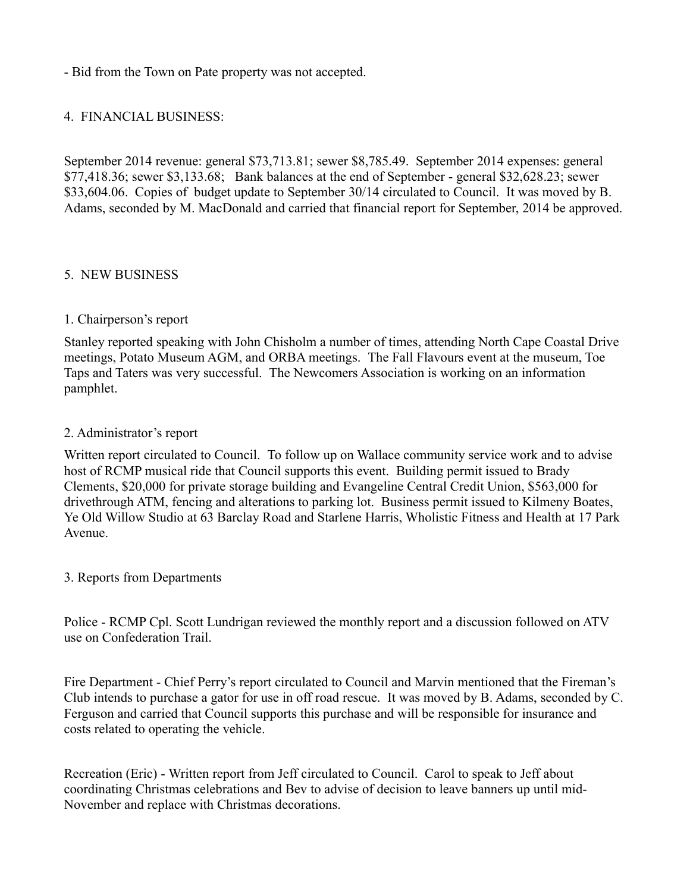- Bid from the Town on Pate property was not accepted.

#### 4. FINANCIAL BUSINESS:

September 2014 revenue: general \$73,713.81; sewer \$8,785.49. September 2014 expenses: general \$77,418.36; sewer \$3,133.68; Bank balances at the end of September - general \$32,628.23; sewer \$33,604.06. Copies of budget update to September 30/14 circulated to Council. It was moved by B. Adams, seconded by M. MacDonald and carried that financial report for September, 2014 be approved.

#### 5. NEW BUSINESS

#### 1. Chairperson's report

Stanley reported speaking with John Chisholm a number of times, attending North Cape Coastal Drive meetings, Potato Museum AGM, and ORBA meetings. The Fall Flavours event at the museum, Toe Taps and Taters was very successful. The Newcomers Association is working on an information pamphlet.

#### 2. Administrator's report

Written report circulated to Council. To follow up on Wallace community service work and to advise host of RCMP musical ride that Council supports this event. Building permit issued to Brady Clements, \$20,000 for private storage building and Evangeline Central Credit Union, \$563,000 for drivethrough ATM, fencing and alterations to parking lot. Business permit issued to Kilmeny Boates, Ye Old Willow Studio at 63 Barclay Road and Starlene Harris, Wholistic Fitness and Health at 17 Park Avenue.

#### 3. Reports from Departments

Police - RCMP Cpl. Scott Lundrigan reviewed the monthly report and a discussion followed on ATV use on Confederation Trail.

Fire Department - Chief Perry's report circulated to Council and Marvin mentioned that the Fireman's Club intends to purchase a gator for use in off road rescue. It was moved by B. Adams, seconded by C. Ferguson and carried that Council supports this purchase and will be responsible for insurance and costs related to operating the vehicle.

Recreation (Eric) - Written report from Jeff circulated to Council. Carol to speak to Jeff about coordinating Christmas celebrations and Bev to advise of decision to leave banners up until mid-November and replace with Christmas decorations.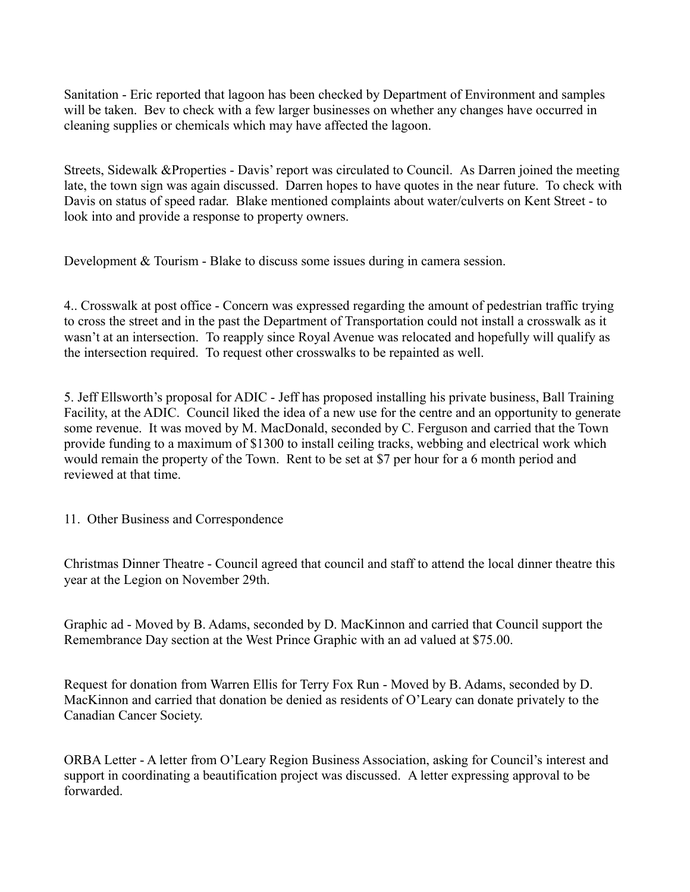Sanitation - Eric reported that lagoon has been checked by Department of Environment and samples will be taken. Bev to check with a few larger businesses on whether any changes have occurred in cleaning supplies or chemicals which may have affected the lagoon.

Streets, Sidewalk &Properties - Davis' report was circulated to Council. As Darren joined the meeting late, the town sign was again discussed. Darren hopes to have quotes in the near future. To check with Davis on status of speed radar. Blake mentioned complaints about water/culverts on Kent Street - to look into and provide a response to property owners.

Development & Tourism - Blake to discuss some issues during in camera session.

4.. Crosswalk at post office - Concern was expressed regarding the amount of pedestrian traffic trying to cross the street and in the past the Department of Transportation could not install a crosswalk as it wasn't at an intersection. To reapply since Royal Avenue was relocated and hopefully will qualify as the intersection required. To request other crosswalks to be repainted as well.

5. Jeff Ellsworth's proposal for ADIC - Jeff has proposed installing his private business, Ball Training Facility, at the ADIC. Council liked the idea of a new use for the centre and an opportunity to generate some revenue. It was moved by M. MacDonald, seconded by C. Ferguson and carried that the Town provide funding to a maximum of \$1300 to install ceiling tracks, webbing and electrical work which would remain the property of the Town. Rent to be set at \$7 per hour for a 6 month period and reviewed at that time.

11. Other Business and Correspondence

Christmas Dinner Theatre - Council agreed that council and staff to attend the local dinner theatre this year at the Legion on November 29th.

Graphic ad - Moved by B. Adams, seconded by D. MacKinnon and carried that Council support the Remembrance Day section at the West Prince Graphic with an ad valued at \$75.00.

Request for donation from Warren Ellis for Terry Fox Run - Moved by B. Adams, seconded by D. MacKinnon and carried that donation be denied as residents of O'Leary can donate privately to the Canadian Cancer Society.

ORBA Letter - A letter from O'Leary Region Business Association, asking for Council's interest and support in coordinating a beautification project was discussed. A letter expressing approval to be forwarded.